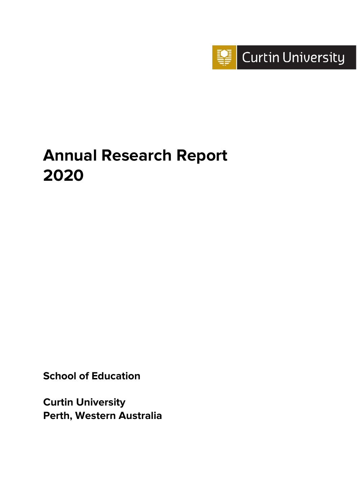

# **Annual Research Report 2020**

**School of Education**

**Curtin University Perth, Western Australia**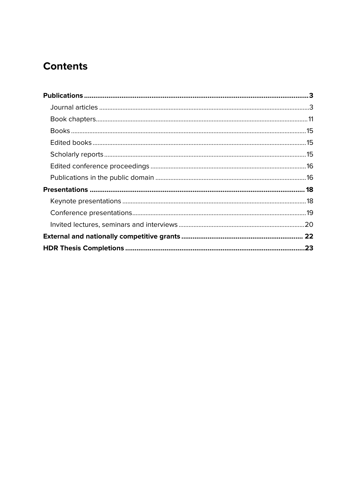# **Contents**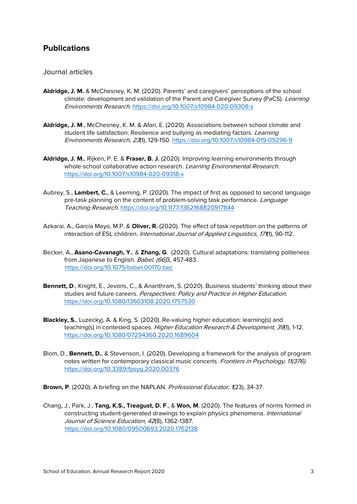# <span id="page-2-0"></span>**Publications**

#### <span id="page-2-1"></span>Journal articles

- **Aldridge, J. M.** & McChesney, K**.** M. (2020). Parents' and caregivers' perceptions of the school climate: development and validation of the Parent and Caregiver Survey (PaCS). Learning Environments Research. <https://doi.org/10.1007/s10984-020-09308-z>
- **Aldridge, J. M**., McChesney, K. M. & Afari, E. (2020). Associations between school climate and student life satisfaction: Resilience and bullying as mediating factors. *Learning* Environments Research, 23(1), 129-150.<https://doi.org/10.1007/s10984-019-09296-9>
- **Aldridge, J. M.**, Rijken, P. E. & **Fraser, B. J.** (2020). Improving learning environments through whole-school collaborative action research. Learning Environmental Research. <https://doi.org/10.1007/s10984-020-09318-x>
- Aubrey, S., **Lambert, C.**, & Leeming, P. (2020). The impact of first as opposed to second language pre-task planning on the content of problem-solving task performance. Language Teaching Research.<https://doi.org/10.1177/1362168820917844>
- Azkarai, A., García Mayo, M.P. & **Oliver, R.** (2020). The effect of task repetition on the patterns of interaction of ESL children. International Journal of Applied Linguistics, 1711), 90-112.
- Becker, A., **Asano-Cavanagh, Y.**, & **Zhang, G**. (2020). Cultural adaptations: translating politeness from Japanese to English. Babel, (66B, 457-483. <https://doi.org/10.1075/babel.00170.bec>
- **Bennett, D**., Knight, E., Jevons, C., & Ananthram, S. (2020). Business students' thinking about their studies and future careers. Perspectives: Policy and Practice in Higher Education. <https://doi.org/10.1080/13603108.2020.1757530>
- **Blackley, S.**, Luzeckyj, A. & King, S. (2020). Re-valuing higher education: learning(s) and teaching(s) in contested spaces. Higher Education Research & Development, 39(1), 1-12. <https://doi.org/10.1080/07294360.2020.1689604>
- Blom, D., **Bennett, D.**, & Stevenson, I. (2020). Developing a framework for the analysis of program notes written for contemporary classical music concerts. Frontiers in Psychology, 11(376). <https://doi.org/10.3389/fpsyg.2020.00376>
- Brown, P. (2020). A briefing on the NAPLAN. Professional Educator, 1(23), 34-37.
- Chang, J., Park, J., **Tang, K.S., Treagust, D. F**., & **Won, M**. (2020). The features of norms formed in constructing student-generated drawings to explain physics phenomena. International Journal of Science Education, <sup>42</sup>(8), 1362-1387. <https://doi.org/10.1080/09500693.2020.1762138>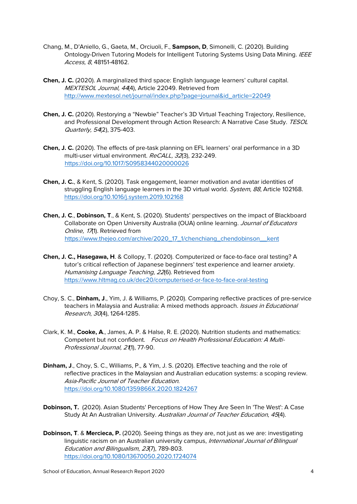- Chang, M., D'Aniello, G., Gaeta, M., Orciuoli, F., **Sampson, D**, Simonelli, C. (2020). Building Ontology-Driven Tutoring Models for Intelligent Tutoring Systems Using Data Mining. IEEE Access, 8, 48151-48162.
- **Chen, J. C.** (2020). A marginalized third space: English language learners' cultural capital. MEXTESOL Journal, 44(4), Article 22049. Retrieved from [http://www.mextesol.net/journal/index.php?page=journal&id\\_article=22049](http://www.mextesol.net/journal/index.php?page=journal&id_article=22049)
- **Chen, J. C.** (2020). Restorying a "Newbie" Teacher's 3D Virtual Teaching Trajectory, Resilience, and Professional Development through Action Research: A Narrative Case Study. TESOL Quarterly, 54(2), 375-403.
- **Chen, J. C.** (2020). The effects of pre-task planning on EFL learners' oral performance in a 3D multi-user virtual environment. ReCALL, <sup>32</sup>(3), 232-249. <https://doi.org/10.1017/S0958344020000026>
- **Chen, J. C.**, & Kent, S. (2020). Task engagement, learner motivation and avatar identities of struggling English language learners in the 3D virtual world. System, 88, Article 102168. <https://doi.org/10.1016/j.system.2019.102168>
- **Chen, J. C**., **Dobinson, T**., & Kent, S. (2020). Students' perspectives on the impact of Blackboard Collaborate on Open University Australia (OUA) online learning. Journal of Educators Online, 17(1). Retrieved from [https://www.thejeo.com/archive/2020\\_17\\_1/chenchiang\\_chendobinson\\_\\_kent](https://www.thejeo.com/archive/2020_17_1/chenchiang_chendobinson__kent)
- **Chen, J. C., Hasegawa, H**. & Collopy, T. (2020). Computerized or face-to-face oral testing? A tutor's critical reflection of Japanese beginners' test experience and learner anxiety. Humanising Language Teaching, 22(6). Retrieved from <https://www.hltmag.co.uk/dec20/computerised-or-face-to-face-oral-testing>
- Choy, S. C., **Dinham, J**., Yim, J. & Williams, P. (2020). Comparing reflective practices of pre-service teachers in Malaysia and Australia: A mixed methods approach. *Issues in Educational* Research, 30(4), 1264-1285.
- Clark, K. M., **Cooke, A**., James, A. P. & Halse, R. E. (2020). Nutrition students and mathematics: Competent but not confident. Focus on Health Professional Education: A Multi-Professional Journal, 21(1), 77-90.
- **Dinham, J**., Choy, S. C., Williams, P., & Yim, J. S. (2020). Effective teaching and the role of reflective practices in the Malaysian and Australian education systems: a scoping review. Asia-Pacific Journal of Teacher Education. <https://doi.org/10.1080/1359866X.2020.1824267>
- **Dobinson, T.** (2020). Asian Students' Perceptions of How They Are Seen In 'The West': A Case Study At An Australian University. Australian Journal of Teacher Education, 45(4).
- **Dobinson, T**. & **Mercieca, P.** (2020). Seeing things as they are, not just as we are: investigating linguistic racism on an Australian university campus, International Journal of Bilingual Education and Bilingualism, <sup>23</sup>(7), 789-803. <https://doi.org/10.1080/13670050.2020.1724074>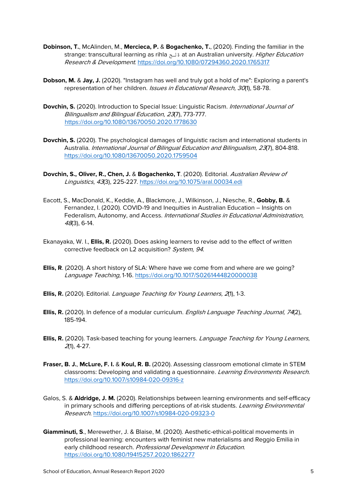- **Dobinson, T.**, McAlinden, M., **Mercieca, P.** & **Bogachenko, T.**, (2020). Finding the familiar in the strange: transcultural learning as rihla قلح at an Australian university. *Higher Education* Research & Development. <https://doi.org/10.1080/07294360.2020.1765317>
- **Dobson, M.** & **Jay, J.** (2020). "Instagram has well and truly got a hold of me": Exploring a parent's representation of her children. Issues in Educational Research, 30(1), 58-78.
- Dovchin, S. (2020). Introduction to Special Issue: Linguistic Racism. *International Journal of* Bilingualism and Bilingual Education, <sup>23</sup>(7), 773-777. <https://doi.org/10.1080/13670050.2020.1778630>
- **Dovchin, S.** (2020). The psychological damages of linguistic racism and international students in Australia. International Journal of Bilingual Education and Bilingualism, 23(7), 804-818. <https://doi.org/10.1080/13670050.2020.1759504>
- **Dovchin, S., Oliver, R., Chen, J.** & **Bogachenko, T**. (2020). Editorial. Australian Review of Linguistics, 43(3), 225-227.<https://doi.org/10.1075/aral.00034.edi>
- Eacott, S., MacDonald, K., Keddie, A., Blackmore, J., Wilkinson, J., Niesche, R., **Gobby, B.** & Fernandez, I. (2020). COVID-19 and Inequities in Australian Education – Insights on Federalism, Autonomy, and Access. International Studies in Educational Administration, <sup>48</sup>(3), 6-14.
- Ekanayaka, W. I., **Ellis, R.** (2020). Does asking learners to revise add to the effect of written corrective feedback on L2 acquisition? System, 94.
- **Ellis, R**. (2020). A short history of SLA: Where have we come from and where are we going? Language Teaching, 1-16.<https://doi.org/10.1017/S0261444820000038>
- **Ellis, R.** (2020). Editorial. Language Teaching for Young Learners, <sup>2</sup>(1), 1-3.
- **Ellis, R.** (2020). In defence of a modular curriculum. *English Language Teaching Journal, 74*(2), 185-194.
- **Ellis, R.** (2020). Task-based teaching for young learners. Language Teaching for Young Learners, <sup>2</sup>(1), 4-27.
- **Fraser, B. J.**, **McLure, F. I.** & **Koul, R. B.** (2020). Assessing classroom emotional climate in STEM classrooms: Developing and validating a questionnaire. Learning Environments Research. <https://doi.org/10.1007/s10984-020-09316-z>
- Galos, S. & **Aldridge, J. M.** (2020). Relationships between learning environments and self-efficacy in primary schools and differing perceptions of at-risk students. Learning Environmental Research[. https://doi.org/10.1007/s10984-020-09323-0](https://doi.org/10.1007/s10984-020-09323-0)
- **Giamminuti, S**., Merewether, J. & Blaise, M. (2020). Aesthetic-ethical-political movements in professional learning: encounters with feminist new materialisms and Reggio Emilia in early childhood research. Professional Development in Education. <https://doi.org/10.1080/19415257.2020.1862277>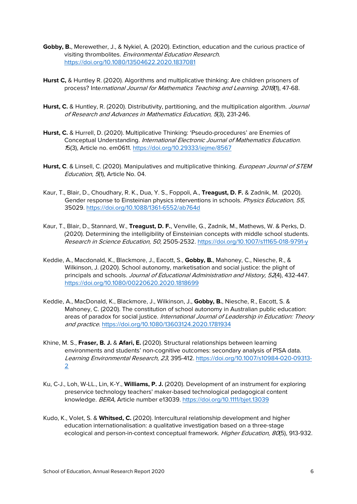- **Gobby, B.**, Merewether, J., & Nykiel, A. (2020). Extinction, education and the curious practice of visiting thrombolites. Environmental Education Research. <https://doi.org/10.1080/13504622.2020.1837081>
- **Hurst C,** & Huntley R. (2020). Algorithms and multiplicative thinking: Are children prisoners of process? International Journal for Mathematics Teaching and Learning. 2018(1), 47-68.
- Hurst, C. & Huntley, R. (2020). Distributivity, partitioning, and the multiplication algorithm. Journal of Research and Advances in Mathematics Education, 5(3), 231-246.
- **Hurst, C.** & Hurrell, D. (2020). Multiplicative Thinking: 'Pseudo-procedures' are Enemies of Conceptual Understanding. International Electronic Journal of Mathematics Education. <sup>1</sup>5(3), Article no. em0611.<https://doi.org/10.29333/iejme/8567>
- Hurst, C. & Linsell, C. (2020). Manipulatives and multiplicative thinking. European Journal of STEM Education, 5(1), Article No. 04.
- Kaur, T., Blair, D., Choudhary, R. K., Dua, Y. S., Foppoli, A., **Treagust, D. F.** & Zadnik, M. (2020). Gender response to Einsteinian physics interventions in schools. Physics Education, 55, 35029. <https://doi.org/10.1088/1361-6552/ab764d>
- Kaur, T., Blair, D., Stannard, W., **Treagust, D. F.**, Venville, G., Zadnik, M., Mathews, W. & Perks, D. (2020). Determining the intelligibility of Einsteinian concepts with middle school students. Research in Science Education, <sup>50</sup>, 2505-2532[. https://doi.org/10.1007/s11165-018-9791-y](https://doi.org/10.1007/s11165-018-9791-y)
- Keddie, A., Macdonald, K., Blackmore, J., Eacott, S., **Gobby, B.**, Mahoney, C., Niesche, R., & Wilkinson, J. (2020). School autonomy, marketisation and social justice: the plight of principals and schools. Journal of Educational Administration and History, 52(4), 432-447. <https://doi.org/10.1080/00220620.2020.1818699>
- Keddie, A., MacDonald, K., Blackmore, J., Wilkinson, J., **Gobby, B.**, Niesche, R., Eacott, S. & Mahoney, C. (2020). The constitution of school autonomy in Australian public education: areas of paradox for social justice. International Journal of Leadership in Education: Theory and practice. <https://doi.org/10.1080/13603124.2020.1781934>
- Khine, M. S., **Fraser, B. J.** & **Afari, E.** (2020). Structural relationships between learning environments and students' non-cognitive outcomes: secondary analysis of PISA data. Learning Environmental Research, <sup>23</sup>, 395-412. [https://doi.org/10.1007/s10984-020-09313-](https://doi.org/10.1007/s10984-020-09313-2) [2](https://doi.org/10.1007/s10984-020-09313-2)
- Ku, C-J., Loh, W-LL., Lin, K-Y., **Williams, P. J.** (2020). Development of an instrument for exploring preservice technology teachers' maker-based technological pedagogical content knowledge. BERA, Article number e13039.<https://doi.org/10.1111/bjet.13039>
- Kudo, K., Volet, S. & **Whitsed, C.** (2020). Intercultural relationship development and higher education internationalisation: a qualitative investigation based on a three-stage ecological and person-in-context conceptual framework. Higher Education, 80(5), 913-932.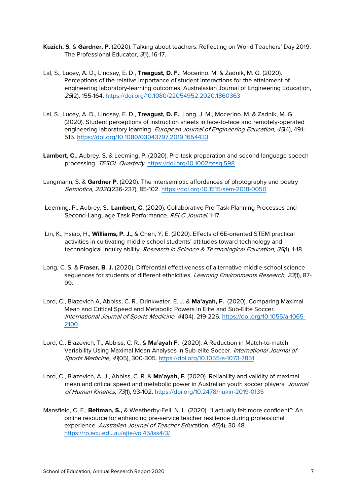- **Kuzich, S.** & **Gardner, P.** (2020). Talking about teachers: Reflecting on World Teachers' Day 2019. The Professional Educator, 3(1), 16-17.
- Lal, S., Lucey, A. D., Lindsay, E. D., **Treagust, D. F.**, Mocerino. M. & Zadnik, M. G. (2020). Perceptions of the relative importance of student interactions for the attainment of engineering laboratory-learning outcomes. Australasian Journal of Engineering Education, <sup>25</sup>(2), 155-164.<https://doi.org/10.1080/22054952.2020.1860363>
- Lal, S., Lucey, A. D., Lindsay, E. D., **Treagust, D. F.**, Long, J. M., Mocerino. M. & Zadnik, M. G. (2020). Student perceptions of instruction sheets in face-to-face and remotely-operated engineering laboratory learning. European Journal of Engineering Education, 45(4), 491-515. <https://doi.org/10.1080/03043797.2019.1654433>
- **Lambert, C.**, Aubrey, S. & Leeming, P. (2020). Pre-task preparation and second language speech processing. TESOL Quarterly.<https://doi.org/10.1002/tesq.598>
- Langmann, S. & **Gardner P.** (2020). The intersemiotic affordances of photography and poetry Semiotica, 2020(236-237), 85-102.<https://doi.org/10.1515/sem-2018-0050>
- Leeming, P., Aubrey, S., **Lambert, C.** (2020). Collaborative Pre-Task Planning Processes and Second-Language Task Performance. RELC Journal. 1-17.
- Lin, K., Hsiao, H., **Williams, P. J.,** & Chen, Y. E. (2020). Effects of 6E-oriented STEM practical activities in cultivating middle school students' attitudes toward technology and technological inquiry ability. Research in Science & Technological Education, 38(1), 1-18.
- Long, C. S. & **Fraser, B. J.** (2020). Differential effectiveness of alternative middle-school science sequences for students of different ethnicities. Learning Environments Research, 23(1), 87-99.
- Lord, C., Blazevich A, Abbiss, C. R., Drinkwater, E. J. & **Ma'ayah, F.** (2020). Comparing Maximal Mean and Critical Speed and Metabolic Powers in Elite and Sub-Elite Soccer. International Journal of Sports Medicine, <sup>41</sup>(04), 219-226. [https://doi.org/10.1055/a-1065-](https://doi.org/10.1055/a-1065-2100) [2100](https://doi.org/10.1055/a-1065-2100)
- Lord, C., Blazevich, T., Abbiss, C. R., & **Ma'ayah F.** (2020). A Reduction in Match-to-match Variability Using Maximal Mean Analyses in Sub-elite Soccer. International Journal of Sports Medicine, <sup>41</sup>(05), 300-305. <https://doi.org/10.1055/a-1073-7851>
- Lord, C., Blazevich, A. J., Abbiss, C. R. & **Ma'ayah, F.** (2020). Reliability and validity of maximal mean and critical speed and metabolic power in Australian youth soccer players. Journal of Human Kinetics, 73(1), 93-102. <https://doi.org/10.2478/hukin-2019-0135>
- Mansfield, C. F., **Beltman, S.,** & Weatherby-Fell, N. L. (2020). "I actually felt more confident": An online resource for enhancing pre-service teacher resilience during professional experience. Australian Journal of Teacher Education, 45(4), 30-48. <https://ro.ecu.edu.au/ajte/vol45/iss4/3/>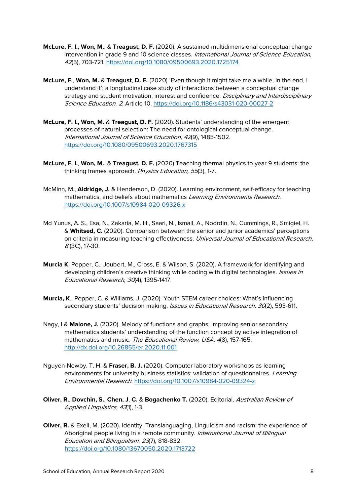- **McLure, F. I.**, **Won, M.**, & **Treagust, D. F.** (2020). A sustained multidimensional conceptual change intervention in grade 9 and 10 science classes. International Journal of Science Education, <sup>42</sup>(5), 703-721.<https://doi.org/10.1080/09500693.2020.1725174>
- **McLure, F.**, **Won, M.** & **Treagust**, **D. F.** (2020) 'Even though it might take me a while, in the end, I understand it': a longitudinal case study of interactions between a conceptual change strategy and student motivation, interest and confidence. Disciplinary and Interdisciplinary Science Education. <sup>2</sup>, Article 10.<https://doi.org/10.1186/s43031-020-00027-2>
- **McLure, F. I., Won, M.** & **Treagust, D. F.** (2020). Students' understanding of the emergent processes of natural selection: The need for ontological conceptual change. International Journal of Science Education, <sup>42</sup>(9), 1485-1502. <https://doi.org/10.1080/09500693.2020.1767315>
- **McLure, F. I.**, **Won, M.**, & **Treagust, D. F.** (2020) Teaching thermal physics to year 9 students: the thinking frames approach. Physics Education, 55(3), 1-7.
- McMinn, M., **Aldridge, J.** & Henderson, D. (2020). Learning environment, self-efficacy for teaching mathematics, and beliefs about mathematics Learning Environments Research. <https://doi.org/10.1007/s10984-020-09326-x>
- Md Yunus, A. S., Esa, N., Zakaria, M. H., Saari, N., Ismail, A., Noordin, N., Cummings, R., Smigiel, H. & **Whitsed, C.** (2020). Comparison between the senior and junior academics' perceptions on criteria in measuring teaching effectiveness. Universal Journal of Educational Research, <sup>8</sup> (3C), 17-30.
- **Murcia K**, Pepper, C., Joubert, M., Cross, E. & Wilson, S. (2020). A framework for identifying and developing children's creative thinking while coding with digital technologies. *Issues in* Educational Research, <sup>30</sup>(4), 1395-1417.
- **Murcia, K**., Pepper, C. & Williams, J. (2020). Youth STEM career choices: What's influencing secondary students' decision making. Issues in Educational Research, 30(2), 593-611.
- Nagy, I & **Malone, J.** (2020). Melody of functions and graphs: Improving senior secondary mathematics students' understanding of the function concept by active integration of mathematics and music. The Educational Review, USA. 4(8), 157-165. <http://dx.doi.org/10.26855/er.2020.11.001>
- Nguyen-Newby, T. H. & **Fraser, B. J.** (2020). Computer laboratory workshops as learning environments for university business statistics: validation of questionnaires. Learning Environmental Research.<https://doi.org/10.1007/s10984-020-09324-z>
- **Oliver, R.**, **Dovchin, S.**, **Chen, J**. **C.** & **Bogachenko T.** (2020). Editorial. Australian Review of Applied Linguistics, 43(1), 1-3.
- **Oliver, R.** & Exell, M. (2020). Identity, Translanguaging, Linguicism and racism: the experience of Aboriginal people living in a remote community. International Journal of Bilingual Education and Bilingualism. <sup>23</sup>(7), 818-832. <https://doi.org/10.1080/13670050.2020.1713722>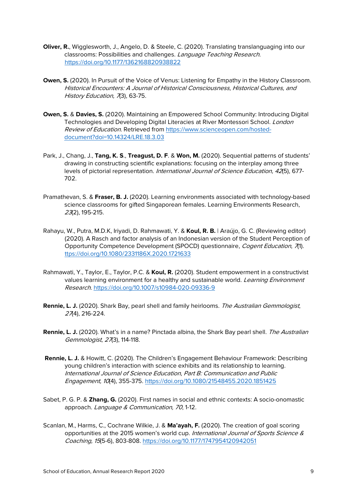- **Oliver, R.**, Wigglesworth, J., Angelo, D. & Steele, C. (2020). Translating translanguaging into our classrooms: Possibilities and challenges. Language Teaching Research. [https://doi.org/10.1177/1362168820938822](https://doi.org/10.1177%2F1362168820938822)
- **Owen, S.** (2020). In Pursuit of the Voice of Venus: Listening for Empathy in the History Classroom. Historical Encounters: A Journal of Historical Consciousness, Historical Cultures, and History Education, 73), 63-75.
- **Owen, S.** & **Davies, S.** (2020). [Maintaining an Empowered School Community: Introducing Digital](https://elements.curtin.edu.au/viewobject.html?id=295690&cid=1)  Technologies [and Developing Digital Literacies at River Montessori School.](https://elements.curtin.edu.au/viewobject.html?id=295690&cid=1) London Review of Education. Retrieved fro[m https://www.scienceopen.com/hosted](https://www.scienceopen.com/hosted-document?doi=10.14324/LRE.18.3.03)[document?doi=10.14324/LRE.18.3.03](https://www.scienceopen.com/hosted-document?doi=10.14324/LRE.18.3.03)
- Park, J., Chang, J., **Tang, K. S**., **Treagust, D. F**. & **Won, M.** (2020). Sequential patterns of students' drawing in constructing scientific explanations: focusing on the interplay among three levels of pictorial representation. International Journal of Science Education, 42(5), 677-702.
- Pramathevan, S. & **Fraser, B. J.** (2020). Learning environments associated with technology-based science classrooms for gifted Singaporean females. Learning Environments Research, <sup>23</sup>(2), 195-215.
- Rahayu, W., Putra, M.D.K, Iriyadi, D. Rahmawati, Y. & **Koul, R. B.** | Araújo, G. C. (Reviewing editor) (2020). A Rasch and factor analysis of an Indonesian version of the Student Perception of Opportunity Competence Development (SPOCD) questionnaire, Cogent Education, 71). [ttps://doi.org/10.1080/2331186X.2020.1721633](https://doi.org/10.1080/2331186X.2020.1721633)
- Rahmawati, Y., Taylor, E., Taylor, P.C. & **Koul, R.** (2020). Student empowerment in a constructivist values learning environment for a healthy and sustainable world. *Learning Environment* Research.<https://doi.org/10.1007/s10984-020-09336-9>
- **Rennie, L. J.** (2020). Shark Bay, pearl shell and family heirlooms. The Australian Gemmologist, <sup>27</sup>(4), 216-224.
- **Rennie, L. J.** (2020). What's in a name? Pinctada albina, the Shark Bay pearl shell. The Australian Gemmologist, 27(3), 114-118.
- **Rennie, L. J.** & Howitt, C. (2020). The Children's Engagement Behaviour Framework: Describing young children's interaction with science exhibits and its relationship to learning. International Journal of Science Education, Part B: Communication and Public Engagement, 10(4), 355-375.<https://doi.org/10.1080/21548455.2020.1851425>
- Sabet, P. G. P. & **Zhang, G.** (2020). First names in social and ethnic contexts: A socio-onomastic approach. Language & Communication, 70, 1-12.
- Scanlan, M., Harms, C., Cochrane Wilkie, J. & **Ma'ayah, F.** (2020). The creation of goal scoring opportunities at the 2015 women's world cup. International Journal of Sports Science & Coaching, 15(5-6), 803-808. [https://doi.org/10.1177/1747954120942051](https://doi.org/10.1177%2F1747954120942051)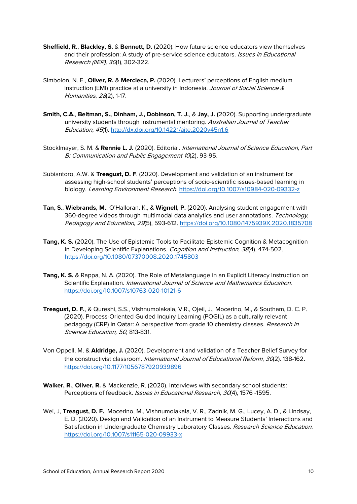- **Sheffield, R.**, **Blackley, S.** & **Bennett, D.** (2020). How future science educators view themselves and their profession: A study of pre-service science educators. Issues in Educational Research (IIER), <sup>30</sup>(1), 302-322.
- Simbolon, N. E., **Oliver, R.** & **Mercieca, P.** (2020). Lecturers' perceptions of English medium instruction (EMI) practice at a university in Indonesia. Journal of Social Science & Humanities, <sup>28</sup>(2), 1-17.
- **Smith, C.A.**, **Beltman, S., Dinham, J., Dobinson, T. J.**, & **Jay, J. (**2020). Supporting undergraduate university students through instrumental mentoring. Australian Journal of Teacher Education, <sup>45</sup>(1).<http://dx.doi.org/10.14221/ajte.2020v45n1.6>
- Stocklmayer, S. M. & **Rennie L. J.** (2020). Editorial. International Journal of Science Education, Part B: Communication and Public Engagement <sup>10</sup>(2), 93-95.
- Subiantoro, A.W. & **Treagust, D. F**. (2020). Development and validation of an instrument for assessing high-school students' perceptions of socio-scientific issues-based learning in biology. Learning Environment Research. <https://doi.org/10.1007/s10984-020-09332-z>
- **Tan, S**., **Wiebrands, M.**, O'Halloran, K., & **Wignell, P.** (2020). Analysing student engagement with 360-degree videos through multimodal data analytics and user annotations. Technology, Pedagogy and Education, 29(5), 593-612.<https://doi.org/10.1080/1475939X.2020.1835708>
- **Tang, K. S.** (2020). The Use of Epistemic Tools to Facilitate Epistemic Cognition & Metacognition in Developing Scientific Explanations. Cognition and Instruction, 38(4), 474-502. <https://doi.org/10.1080/07370008.2020.1745803>
- **Tang, K. S.** & Rappa, N. A. (2020). The Role of Metalanguage in an Explicit Literacy Instruction on Scientific Explanation. International Journal of Science and Mathematics Education. <https://doi.org/10.1007/s10763-020-10121-6>
- **Treagust, D. F.**, & Qureshi, S.S., Vishnumolakala, V.R., Ojeil, J., Mocerino, M., & Southam, D. C. P. (2020). Process-Oriented Guided Inquiry Learning (POGIL) as a culturally relevant pedagogy (CRP) in Qatar: A perspective from grade 10 chemistry classes. Research in Science Education, <sup>50</sup>, 813-831.
- Von Oppell, M. & **Aldridge, J.** (2020). Development and validation of a Teacher Belief Survey for the constructivist classroom. International Journal of Educational Reform, 30(2). 138-162. [https://doi.org/10.1177/1056787920939896](https://doi.org/10.1177%2F1056787920939896)
- **Walker, R.**, **Oliver, R.** & Mackenzie, R. (2020). Interviews with secondary school students: Perceptions of feedback. Issues in Educational Research, 30(4), 1576 -1595.
- Wei, J, **Treagust, D. F.**, Mocerino, M., Vishnumolakala, V. R., Zadnik, M. G., Lucey, A. D., & Lindsay, E. D. (2020). Design and Validation of an Instrument to Measure Students' Interactions and Satisfaction in Undergraduate Chemistry Laboratory Classes. Research Science Education. <https://doi.org/10.1007/s11165-020-09933-x>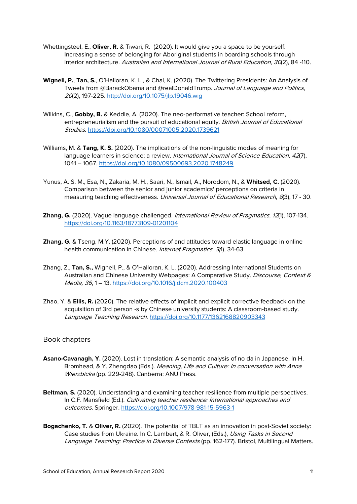- Whettingsteel, E., **Oliver, R.** & Tiwari, R. (2020). It would give you a space to be yourself: Increasing a sense of belonging for Aboriginal students in boarding schools through interior architecture. Australian and International Journal of Rural Education, 30(2), 84 -110.
- **Wignell, P.**, **Tan, S.**, O'Halloran, K. L., & Chai, K. (2020). The Twittering Presidents: An Analysis of Tweets from @BarackObama and @realDonaldTrump. Journal of Language and Politics, <sup>20</sup>(2), 197-225. <http://doi.org/10.1075/jlp.19046.wig>
- Wilkins, C., **Gobby, B.** & Keddie, A. (2020). The neo-performative teacher: School reform, entrepreneurialism and the pursuit of educational equity. British Journal of Educational Studies.<https://doi.org/10.1080/00071005.2020.1739621>
- Williams, M. & **Tang, K. S.** (2020). The implications of the non-linguistic modes of meaning for language learners in science: a review. International Journal of Science Education. 42(7), 1041 – 1067.<https://doi.org/10.1080/09500693.2020.1748249>
- Yunus, A. S. M., Esa, N., Zakaria, M. H., Saari, N., Ismail, A., Norodom, N., & **Whitsed, C.** (2020). Comparison between the senior and junior academics' perceptions on criteria in measuring teaching effectiveness. Universal Journal of Educational Research, 8(3), 17 - 30.
- **Zhang, G.** (2020). Vague language challenged. International Review of Pragmatics, 12(1), 107-134. <https://doi.org/10.1163/18773109-01201104>
- **Zhang, G.** & Tseng, M.Y. (2020). Perceptions of and attitudes toward elastic language in online health communication in Chinese. Internet Pragmatics, 3(1), 34-63.
- Zhang, Z., **Tan, S.,** Wignell, P., & O'Halloran, K. L. (2020). Addressing International Students on Australian and Chinese University Webpages: A Comparative Study. Discourse, Context & Media, <sup>36</sup>, 1 – 13. <https://doi.org/10.1016/j.dcm.2020.100403>
- Zhao, Y. & **Ellis, R.** (2020). The relative effects of implicit and explicit corrective feedback on the acquisition of 3rd person -s by Chinese university students: A classroom-based study. Language Teaching Research. [https://doi.org/10.1177/1362168820903343](https://doi.org/10.1177%2F1362168820903343)

#### <span id="page-10-0"></span>Book chapters

- Asano-Cavanagh, Y. (2020). Lost in translation: A semantic analysis of no da in Japanese. In H. Bromhead, & Y. Zhengdao (Eds.). Meaning, Life and Culture: In conversation with Anna Wierzbicka (pp. 229-248). Canberra: ANU Press.
- **Beltman, S.** (2020). Understanding and examining teacher resilience from multiple perspectives. In C.F. Mansfield (Ed.). Cultivating teacher resilience: International approaches and outcomes. Springer.<https://doi.org/10.1007/978-981-15-5963-1>
- **Bogachenko, T.** & **Oliver, R.** (2020). The potential of TBLT as an innovation in post-Soviet society: Case studies from Ukraine. In C. Lambert, & R. Oliver, (Eds.), Using Tasks in Second Language Teaching: Practice in Diverse Contexts (pp. 162-177). Bristol, Multilingual Matters.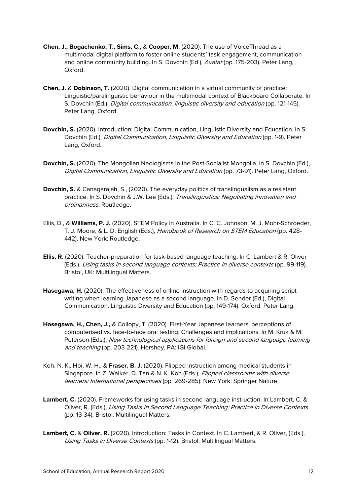- **Chen, J., Bogachenko, T., Sims, C.,** & **Cooper, M.** (2020). The use of VoiceThread as a multimodal digital platform to foster online students' task engagement, communication and online community building. In S. Dovchin (Ed.), Avatar (pp. 175-203). Peter Lang, Oxford.
- **Chen, J.** & **Dobinson, T.** (2020). Digital communication in a virtual community of practice: Linguistic/paralinguistic behaviour in the multimodal context of Blackboard Collaborate. In S. Dovchin (Ed.), *Digital communication, linguistic diversity and education* (pp. 121-145). Peter Lang, Oxford.
- **Dovchin, S.** (2020). Introduction: Digital Communication, Linguistic Diversity and Education. In S. Dovchin (Ed.), Digital Communication, Linguistic Diversity and Education (pp. 1-9). Peter Lang, Oxford.
- **Dovchin, S.** (2020). The Mongolian Neologisms in the Post-Socialist Mongolia. In S. Dovchin (Ed.), Digital Communication, Linguistic Diversity and Education (pp. 73-91). Peter Lang, Oxford.
- **Dovchin, S.** & Canagarajah, S., (2020). The everyday politics of translingualism as a resistant practice. In S. Dovchin & J.W. Lee (Eds.), Translinguistics: Negotiating innovation and ordinariness. Routledge.
- Ellis, D., & **Williams, P. J.** (2020). STEM Policy in Australia. In C. C. Johnson, M. J. Mohr-Schroeder, T. J. Moore, & L. D. English (Eds.), Handbook of Research on STEM Education (pp. 428-442). New York: Routledge.
- **Ellis, R**. (2020). Teacher-preparation for task-based language teaching. In C. Lambert & R. Oliver (Eds.), Using tasks in second language contexts: Practice in diverse contexts (pp. 99-119). Bristol, UK: Multilingual Matters.
- **Hasegawa, H.** (2020). The effectiveness of online instruction with regards to acquiring script writing when learning Japanese as a second language. In D. Sender (Ed.), Digital Communication, Linguistic Diversity and Education (pp. 149-174). Oxford: Peter Lang.
- **Hasegawa, H., Chen, J.,** & Collopy, T. (2020). First-Year Japanese learners' perceptions of computerised vs. face-to-face oral testing: Challenges and implications. In M. Kruk & M. Peterson (Eds.), New technological applications for foreign and second language learning and teaching (pp. 203-221). Hershey, PA: IGI Global.
- Koh, N. K., Hoi, W. H., & **Fraser, B. J.** (2020). Flipped instruction among medical students in Singapore. In Z. Walker, D. Tan & N. K. Koh (Eds.), Flipped classrooms with diverse learners: International perspectives (pp. 269-285). New York: Springer Nature.
- **Lambert, C.** (2020). Frameworks for using tasks in second language instruction. In Lambert, C. & Oliver, R. (Eds.), Using Tasks in Second Language Teaching: Practice in Diverse Contexts. (pp. 13-34). Bristol: Multilingual Matters.
- **Lambert, C.** & **Oliver, R.** (2020). Introduction: Tasks in Context. In C. Lambert, & R. Oliver, (Eds.), Using Tasks in Diverse Contexts (pp. 1-12). Bristol: Multilingual Matters.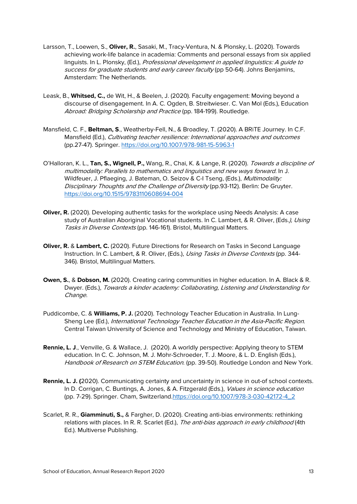- Larsson, T., Loewen, S., **Oliver, R.**, Sasaki, M., Tracy-Ventura, N. & Plonsky, L. (2020). Towards achieving work-life balance in academia: Comments and personal essays from six applied linguists. In L. Plonsky, (Ed.), Professional development in applied linguistics: A guide to success for graduate students and early career faculty (pp 50-64). Johns Benjamins, Amsterdam: The Netherlands.
- Leask, B., **Whitsed, C.,** de Wit, H., & Beelen, J. (2020). Faculty engagement: Moving beyond a discourse of disengagement. In A. C. Ogden, B. Streitwieser. C. Van Mol (Eds.), Education Abroad: Bridging Scholarship and Practice (pp. 184-199). Routledge.
- Mansfield, C. F., **Beltman, S**., Weatherby-Fell, N., & Broadley, T. (2020). A BRiTE Journey. In C.F. Mansfield (Ed.), Cultivating teacher resilience: International approaches and outcomes (pp.27-47). Springer.<https://doi.org/10.1007/978-981-15-5963-1>
- O'Halloran, K. L., **Tan, S., Wignell, P.,** Wang, R., Chai, K. & Lange, R. (2020). Towards a discipline of multimodality: Parallels to mathematics and linguistics and new ways forward. In J. Wildfeuer, J. Pflaeging, J. Bateman, O. Seizov & C-I Tseng, (Eds.), Multimodality: Disciplinary Thoughts and the Challenge of Diversity (pp.93-112). Berlin: De Gruyter. <https://doi.org/10.1515/9783110608694-004>
- **Oliver, R.** (2020). Developing authentic tasks for the workplace using Needs Analysis: A case study of Australian Aboriginal Vocational students. In C. Lambert, & R. Oliver, (Eds.), Using Tasks in Diverse Contexts (pp. 146-161). Bristol, Multilingual Matters.
- **Oliver, R.** & **Lambert, C.** (2020). Future Directions for Research on Tasks in Second Language Instruction. In C. Lambert, & R. Oliver, (Eds.), Using Tasks in Diverse Contexts (pp. 344-346). Bristol, Multilingual Matters.
- **Owen, S.**, & **Dobson, M.** (2020). Creating caring communities in higher education. In A. Black & R. Dwyer. (Eds.), Towards a kinder academy: Collaborating, Listening and Understanding for Change.
- Puddicombe, C. & **Williams, P. J.** (2020). Technology Teacher Education in Australia. In Lung-Sheng Lee (Ed.), International Technology Teacher Education in the Asia-Pacific Region. Central Taiwan University of Science and Technology and Ministry of Education, Taiwan.
- **Rennie, L. J**., Venville, G. & Wallace, J. (2020). A worldly perspective: Applying theory to STEM education. In C. C. Johnson, M. J. Mohr-Schroeder, T. J. Moore, & L. D. English (Eds.), Handbook of Research on STEM Education. (pp. 39-50). Routledge London and New York.
- **Rennie, L. J. (**2020). Communicating certainty and uncertainty in science in out-of school contexts. In D. Corrigan, C. Buntings, A. Jones, & A. Fitzgerald (Eds.), Values in science education (pp. 7-29). Springer. Cham, Switzerland[.https://doi.org/10.1007/978-3-030-42172-4\\_2](https://doi.org/10.1007/978-3-030-42172-4_2)
- Scarlet, R. R., **Giamminuti, S.,** & Fargher, D. (2020). Creating anti-bias environments: rethinking relations with places. In R. R. Scarlet (Ed.), The anti-bias approach in early childhood (4th Ed.). Multiverse Publishing.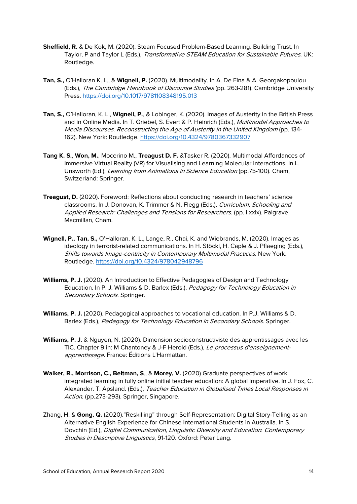- **Sheffield, R.** & De Kok, M. (2020). Steam Focused Problem-Based Learning. Building Trust. In Taylor, P and Taylor L (Eds.), Transformative STEAM Education for Sustainable Futures. UK: Routledge.
- **Tan, S.,** O'Halloran K. L., & **Wignell, P.** (2020). Multimodality. In A. De Fina & A. Georgakopoulou (Eds.), The Cambridge Handbook of Discourse Studies (pp. 263-281). Cambridge University Press.<https://doi.org/10.1017/9781108348195.013>
- **Tan, S.,** O'Halloran, K. L., **Wignell, P.**, & Lobinger, K. (2020). Images of Austerity in the British Press and in Online Media. In T. Griebel, S. Evert & P. Heinrich (Eds.), *Multimodal Approaches to* Media Discourses. Reconstructing the Age of Austerity in the United Kingdom (pp. 134- 162). New York: Routledge.<https://doi.org/10.4324/9780367332907>
- **Tang K. S.**, **Won, M.**, Mocerino M., **Treagust D. F.** &Tasker R. (2020). Multimodal Affordances of Immersive Virtual Reality (VR) for Visualising and Learning Molecular Interactions. In L. Unsworth (Ed.), Learning from Animations in Science Education (pp.75-100). Cham, Switzerland: Springer.
- **Treagust, D.** (2020). Foreword: Reflections about conducting research in teachers' science classrooms. In J. Donovan, K. Trimmer & N. Flegg (Eds.), Curriculum, Schooling and Applied Research: Challenges and Tensions for Researchers. (pp. i xxix). Palgrave Macmillan, Cham.
- **Wignell, P., Tan, S.,** O'Halloran, K. L., Lange, R., Chai, K. and Wiebrands, M. (2020). Images as ideology in terrorist-related communications. In H. Stöckl, H. Caple & J. Pflaeging (Eds.), Shifts towards Image-centricity in Contemporary Multimodal Practices. New York: Routledge.<https://doi.org/10.4324/978042948796>
- **Williams, P. J.** (2020). An Introduction to Effective Pedagogies of Design and Technology Education. In P. J. Williams & D. Barlex (Eds.), Pedagogy for Technology Education in Secondary Schools. Springer.
- **Williams, P. J.** (2020). Pedagogical approaches to vocational education. In P.J. Williams & D. Barlex (Eds.), Pedagogy for Technology Education in Secondary Schools. Springer.
- **Williams, P. J.** & Nguyen, N. (2020). Dimension socioconstructiviste des apprentissages avec les TIC. Chapter 9 in: M Chantoney & J-F Herold (Eds.), Le processus d'enseignementapprentissage. France: Éditions L'Harmattan.
- **Walker, R., Morrison, C., Beltman, S**., & **Morey, V.** (2020) Graduate perspectives of work integrated learning in fully online initial teacher education: A global imperative. In J. Fox, C. Alexander. T. Apsland. (Eds.), Teacher Education in Globalised Times Local Responses in Action. (pp.273-293). Springer, Singapore.
- Zhang, H. & **Gong, Q.** (2020)."Reskilling" through Self-Representation: Digital Story-Telling as an Alternative English Experience for Chinese International Students in Australia. In S. Dovchin (Ed.), Digital Communication, Linguistic Diversity and Education: Contemporary Studies in Descriptive Linguistics, 91-120. Oxford: Peter Lang.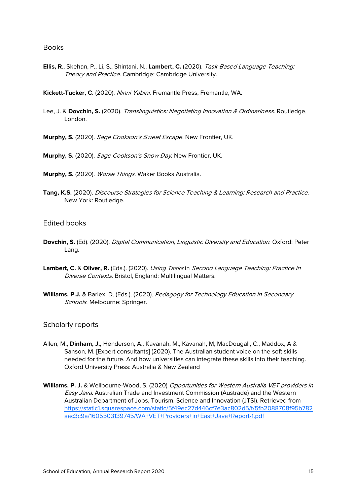#### <span id="page-14-0"></span>**Books**

**Ellis, R**., Skehan, P., Li, S., Shintani, N., **Lambert, C.** (2020). Task-Based Language Teaching: Theory and Practice. Cambridge: Cambridge University.

**Kickett-Tucker, C.** (2020). Ninni Yabini. [Fremantle Press, Fremantle, WA.](https://elements.curtin.edu.au/viewobject.html?id=287922&cid=1)

Lee, J. & **Dovchin, S.** (2020). Translinguistics: Negotiating Innovation & Ordinariness. Routledge, London.

**Murphy, S.** (2020). Sage Cookson's Sweet Escape. New Frontier, UK.

**Murphy, S.** (2020). Sage Cookson's Snow Day. New Frontier, UK.

**Murphy, S.** (2020). Worse Things. Waker Books Australia.

**Tang, K.S.** (2020). Discourse Strategies for Science Teaching & Learning: Research and Practice. New York: Routledge.

#### <span id="page-14-1"></span>Edited books

- **Dovchin, S.** (Ed). (2020). Digital Communication, Linguistic Diversity and Education. Oxford: Peter Lang.
- **Lambert, C.** & **Oliver, R.** (Eds.). (2020). Using Tasks in Second Language Teaching: Practice in Diverse Contexts. Bristol, England: Multilingual Matters.
- **Williams, P.J.** & Barlex, D. (Eds.). (2020). Pedagogy for Technology Education in Secondary Schools. Melbourne: Springer.

#### <span id="page-14-2"></span>Scholarly reports

- Allen, M., **Dinham, J.,** Henderson, A., Kavanah, M., Kavanah, M, MacDougall, C., Maddox, A & Sanson, M. [Expert consultants] (2020). The Australian student voice on the soft skills needed for the future. And how universities can integrate these skills into their teaching. Oxford University Press: Australia & New Zealand
- **Williams, P. J.** & Wellbourne-Wood, S. (2020) Opportunities for Western Australia VET providers in Easy Java. Australian Trade and Investment Commission (Austrade) and the Western Australian Department of Jobs, Tourism, Science and Innovation (JTSI). Retrieved from [https://static1.squarespace.com/static/5f49ec27d446cf7e3ac802d5/t/5fb2088708f95b782](https://static1.squarespace.com/static/5f49ec27d446cf7e3ac802d5/t/5fb2088708f95b782aac3c9a/1605503139745/WA+VET+Providers+in+East+Java+Report-1.pdf) [aac3c9a/1605503139745/WA+VET+Providers+in+East+Java+Report-1.pdf](https://static1.squarespace.com/static/5f49ec27d446cf7e3ac802d5/t/5fb2088708f95b782aac3c9a/1605503139745/WA+VET+Providers+in+East+Java+Report-1.pdf)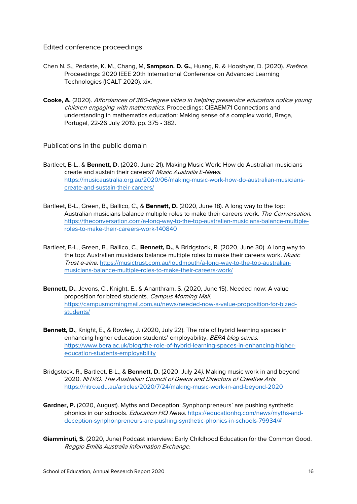<span id="page-15-0"></span>Edited conference proceedings

- Chen N. S., Pedaste, K. M., Chang, M, **Sampson. D. G.,** Huang, R. & Hooshyar, D. (2020). Preface. Proceedings: 2020 IEEE 20th International Conference on Advanced Learning Technologies (ICALT 2020). xix.
- **Cooke, A.** (2020). Affordances of 360-degree video in helping preservice educators notice young children engaging with mathematics. Proceedings: CIEAEM71 Connections and understanding in mathematics education: Making sense of a complex world, Braga, Portugal, 22-26 July 2019. pp. 375 - 382.

<span id="page-15-1"></span>Publications in the public domain

- Bartleet, B-L., & **Bennett, D.** (2020, June 21). Making Music Work: How do Australian musicians create and sustain their careers? Music Australia E-News. [https://musicaustralia.org.au/2020/06/making-music-work-how-do-australian-musicians](https://musicaustralia.org.au/2020/06/making-music-work-how-do-australian-musicians-create-and-sustain-their-careers/)[create-and-sustain-their-careers/](https://musicaustralia.org.au/2020/06/making-music-work-how-do-australian-musicians-create-and-sustain-their-careers/)
- Bartleet, B-L., Green, B., Ballico, C., & **Bennett, D.** (2020, June 18). A long way to the top: Australian musicians balance multiple roles to make their careers work. The Conversation. [https://theconversation.com/a-long-way-to-the-top-australian-musicians-balance-multiple](https://theconversation.com/a-long-way-to-the-top-australian-musicians-balance-multiple-roles-to-make-their-careers-work-140840)[roles-to-make-their-careers-work-140840](https://theconversation.com/a-long-way-to-the-top-australian-musicians-balance-multiple-roles-to-make-their-careers-work-140840)
- Bartleet, B-L., Green, B., Ballico, C., **Bennett, D.,** & Bridgstock, R. (2020, June 30). A long way to the top: Australian musicians balance multiple roles to make their careers work. Music Trust e-zine. [https://musictrust.com.au/loudmouth/a-long-way-to-the-top-australian](https://musictrust.com.au/loudmouth/a-long-way-to-the-top-australian-musicians-balance-multiple-roles-to-make-their-careers-work/)[musicians-balance-multiple-roles-to-make-their-careers-work/](https://musictrust.com.au/loudmouth/a-long-way-to-the-top-australian-musicians-balance-multiple-roles-to-make-their-careers-work/)
- **Bennett, D.**, Jevons, C., Knight, E., & Ananthram, S. (2020, June 15). Needed now: A value proposition for bized students. Campus Morning Mail. [https://campusmorningmail.com.au/news/needed-now-a-value-proposition-for-bized](https://campusmorningmail.com.au/news/needed-now-a-value-proposition-for-bized-students/)[students/](https://campusmorningmail.com.au/news/needed-now-a-value-proposition-for-bized-students/)
- **Bennett, D.**, Knight, E., & Rowley, J. (2020, July 22). The role of hybrid learning spaces in enhancing higher education students' employability. BERA blog series. [https://www.bera.ac.uk/blog/the-role-of-hybrid-learning-spaces-in-enhancing-higher](https://www.bera.ac.uk/blog/the-role-of-hybrid-learning-spaces-in-enhancing-higher-education-students-employability)[education-students-employability](https://www.bera.ac.uk/blog/the-role-of-hybrid-learning-spaces-in-enhancing-higher-education-students-employability)
- Bridgstock, R., Bartleet, B-L., & **Bennett, D.** (2020, July 24). Making music work in and beyond 2020. NiTRO. The Australian Council of Deans and Directors of Creative Arts. <https://nitro.edu.au/articles/2020/7/24/making-music-work-in-and-beyond-2020>
- **Gardner, P.** (2020, August). Myths and Deception: Synphonpreneurs' are pushing synthetic phonics in our schools. *Education HQ News*. [https://educationhq.com/news/myths-and](https://educationhq.com/news/myths-and-deception-synphonpreneurs-are-pushing-synthetic-phonics-in-schools-79934/)[deception-synphonpreneurs-are-pushing-synthetic-phonics-in-schools-79934/#](https://educationhq.com/news/myths-and-deception-synphonpreneurs-are-pushing-synthetic-phonics-in-schools-79934/)
- **Giamminuti, S.** (2020, June) Podcast interview: Early Childhood Education for the Common Good. Reggio Emilia Australia Information Exchange.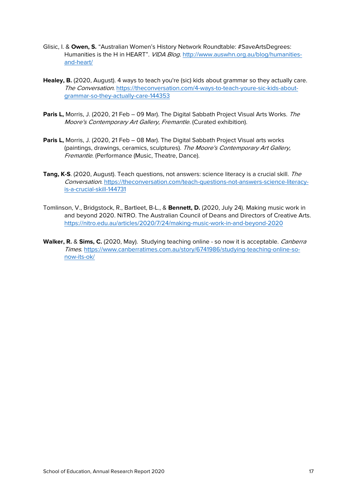- Glisic, I. & **Owen, S.** "Australian Women's History Network Roundtable: #SaveArtsDegrees: Humanities is the H in HEART". VIDA Blog. [http://www.auswhn.org.au/blog/humanities](http://www.auswhn.org.au/blog/humanities-and-heart/)[and-heart/](http://www.auswhn.org.au/blog/humanities-and-heart/)
- **Healey, B.** (2020, August). 4 ways to teach you're (sic) kids about grammar so they actually care. The Conversation. [https://theconversation.com/4-ways-to-teach-youre-sic-kids-about](https://theconversation.com/4-ways-to-teach-youre-sic-kids-about-grammar-so-they-actually-care-144353)[grammar-so-they-actually-care-144353](https://theconversation.com/4-ways-to-teach-youre-sic-kids-about-grammar-so-they-actually-care-144353)
- **Paris L,** Morris, J. (2020, 21 Feb 09 Mar). The Digital Sabbath Project Visual Arts Works. The Moore's Contemporary Art Gallery, Fremantle. (Curated exhibition).
- **Paris L,** Morris, J. (2020, 21 Feb 08 Mar). The Digital Sabbath Project Visual arts works (paintings, drawings, ceramics, sculptures). The Moore's Contemporary Art Gallery, Fremantle. (Performance (Music, Theatre, Dance).
- **Tang, K-S**. (2020, August). Teach questions, not answers: science literacy is a crucial skill. The Conversation[. https://theconversation.com/teach-questions-not-answers-science-literacy](https://theconversation.com/teach-questions-not-answers-science-literacy-is-a-crucial-skill-144731)[is-a-crucial-skill-144731](https://theconversation.com/teach-questions-not-answers-science-literacy-is-a-crucial-skill-144731)
- Tomlinson, V., Bridgstock, R., Bartleet, B-L., & **Bennett, D.** (2020, July 24). Making music work in and beyond 2020. NiTRO. The Australian Council of Deans and Directors of Creative Arts. <https://nitro.edu.au/articles/2020/7/24/making-music-work-in-and-beyond-2020>
- **Walker, R.** & **Sims, C.** (2020, May). Studying teaching online so now it is acceptable. Canberra Times. [https://www.canberratimes.com.au/story/6741986/studying-teaching-online-so](https://www.canberratimes.com.au/story/6741986/studying-teaching-online-so-now-its-ok/)[now-its-ok/](https://www.canberratimes.com.au/story/6741986/studying-teaching-online-so-now-its-ok/)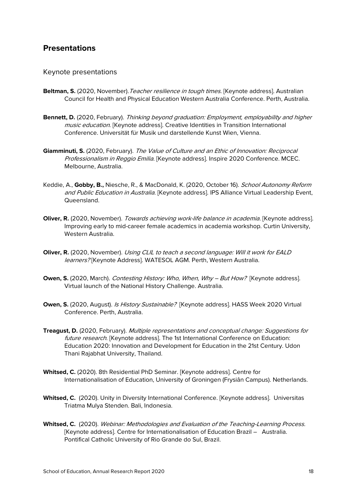### <span id="page-17-0"></span>**Presentations**

#### <span id="page-17-1"></span>Keynote presentations

- Beltman, S. (2020, November). Teacher resilience in tough times. [Keynote address]. Australian Council for Health and Physical Education Western Australia Conference. Perth, Australia.
- **Bennett, D.** (2020, February). Thinking beyond graduation: Employment, employability and higher music education. [Keynote address]. Creative Identities in Transition International Conference. Universität für Musik und darstellende Kunst Wien, Vienna.
- **Giamminuti, S.** (2020, February). The Value of Culture and an Ethic of Innovation: Reciprocal Professionalism in Reggio Emilia. [Keynote address]. Inspire 2020 Conference. MCEC. Melbourne, Australia.
- Keddie, A., **Gobby, B.,** Niesche, R., & MacDonald, K. (2020, October 16). School Autonomy Reform and Public Education in Australia. [Keynote address]. IPS Alliance Virtual Leadership Event, Queensland.
- **Oliver, R.** (2020, November). Towards achieving work-life balance in academia. [Keynote address]. Improving early to mid-career female academics in academia workshop. Curtin University, Western Australia.
- **Oliver, R.** (2020, November). Using CLIL to teach a second language: Will it work for EALD learners? [Keynote Address]. WATESOL AGM. Perth, Western Australia.
- **Owen, S.** (2020, March). Contesting History: Who, When, Why But How? [Keynote address]. Virtual launch of the National History Challenge. Australia.
- **Owen, S.** (2020, August). *Is History Sustainable?* [Keynote address]. HASS Week 2020 Virtual Conference. Perth, Australia.
- **Treagust, D.** (2020, February). Multiple representations and conceptual change: Suggestions for future research. [Keynote address]. The 1st International Conference on Education: Education 2020: Innovation and Development for Education in the 21st Century. Udon Thani Rajabhat University, Thailand.
- **Whitsed, C.** (2020). 8th Residential PhD Seminar. [Keynote address]. Centre for Internationalisation of Education, University of Groningen (Frysiân Campus). Netherlands.
- **Whitsed, C.** (2020). Unity in Diversity International Conference. [Keynote address]. Universitas Triatma Mulya Stenden. Bali, Indonesia.
- **Whitsed, C.** (2020). Webinar: Methodologies and Evaluation of the Teaching-Learning Process. [Keynote address]. Centre for Internationalisation of Education Brazil – Australia. Pontifical Catholic University of Rio Grande do Sul, Brazil.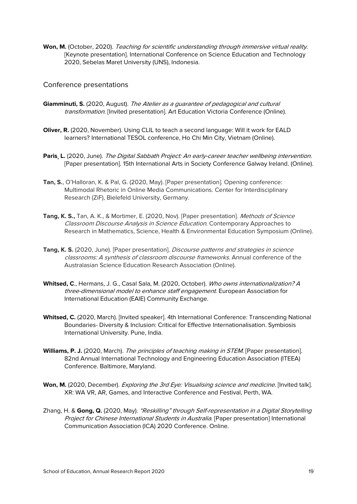Won, M. (October, 2020). Teaching for scientific understanding through immersive virtual reality. [Keynote presentation]. International Conference on Science Education and Technology 2020, Sebelas Maret University (UNS), Indonesia.

<span id="page-18-0"></span>Conference presentations

- **Giamminuti, S.** (2020, August). The Atelier as a guarantee of pedagogical and cultural transformation. [Invited presentation]. Art Education Victoria Conference (Online).
- **Oliver, R.** (2020, November). Using CLIL to teach a second language: Will it work for EALD learners? International TESOL conference, Ho Chi Min City, Vietnam (Online).
- Paris, L. (2020, June). The Digital Sabbath Project: An early-career teacher wellbeing intervention. [Paper presentation]. 15th International Arts in Society Conference Galway Ireland. (Online).
- **Tan, S.**, O'Halloran, K. & Pal, G. (2020, May). [Paper presentation]. Opening conference: Multimodal Rhetoric in Online Media Communications. Center for Interdisciplinary Research (ZiF), Bielefeld University, Germany.
- **Tang, K. S.,** Tan, A. K., & Mortimer, E. (2020, Nov). [Paper presentation]. Methods of Science Classroom Discourse Analysis in Science Education. Contemporary Approaches to Research in Mathematics, Science, Health & Environmental Education Symposium (Online).
- **Tang, K. S.** (2020, June). [Paper presentation]. *Discourse patterns and strategies in science* classrooms: A synthesis of classroom discourse frameworks. Annual conference of the Australasian Science Education Research Association (Online).
- **Whitsed, C**., Hermans, J. G., Casal Sala, M. (2020, October). Who owns internationalization? A three-dimensional model to enhance staff engagement. European Association for International Education (EAIE) Community Exchange.
- **Whitsed, C.** (2020, March). [Invited speaker]. 4th International Conference: Transcending National Boundaries- Diversity & Inclusion: Critical for Effective Internationalisation. Symbiosis International University. Pune, India.
- Williams, P. J. (2020, March). The principles of teaching making in STEM. [Paper presentation]. 82nd Annual International Technology and Engineering Education Association (ITEEA) Conference. Baltimore, Maryland.
- Won, M. (2020, December). *Exploring the 3rd Eye: Visualising science and medicine*. [Invited talk]. XR: WA VR, AR, Games, and Interactive Conference and Festival, Perth, WA.
- Zhang, H. & **Gong, Q.** (2020, May). "Reskilling" through Self-representation in a Digital Storytelling Project for Chinese International Students in Australia. [Paper presentation] International Communication Association (ICA) 2020 Conference. Online.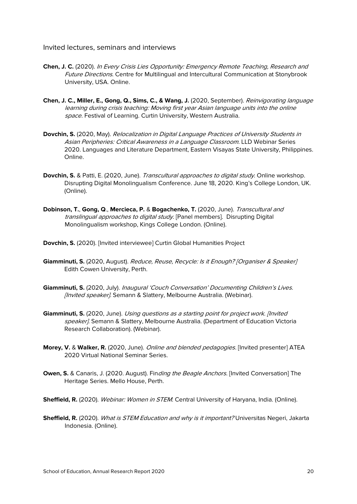#### <span id="page-19-0"></span>Invited lectures, seminars and interviews

- **Chen, J. C.** (2020). In Every Crisis Lies Opportunity: Emergency Remote Teaching, Research and Future Directions. Centre for Multilingual and Intercultural Communication at Stonybrook University, USA. Online.
- **Chen, J. C., Miller, E., Gong, Q., Sims, C., & Wang, J.** (2020, September). Reinvigorating language learning during crisis teaching: Moving first year Asian language units into the online space. Festival of Learning. Curtin University, Western Australia.
- **Dovchin, S.** (2020, May). Relocalization in Digital Language Practices of University Students in Asian Peripheries: Critical Awareness in a Language Classroom. LLD Webinar Series 2020. Languages and Literature Department, Eastern Visayas State University, Philippines. Online.
- **Dovchin, S.** & Patti, E. (2020, June). *Transcultural approaches to digital study*. Online workshop. Disrupting Digital Monolingualism Conference. June 18, 2020. King's College London, UK. (Online).
- **Dobinson, T.**, **Gong, Q**., **Mercieca, P.** & **Bogachenko, T.** (2020, June). Transcultural and translingual approaches to digital study. [Panel members]. Disrupting Digital Monolingualism workshop, Kings College London. (Online).

**Dovchin, S.** (2020). [Invited interviewee] Curtin Global Humanities Project

- Giamminuti, S. (2020, August). Reduce, Reuse, Recycle: Is it Enough? [Organiser & Speaker] Edith Cowen University, Perth.
- **Giamminuti, S.** (2020, July). Inaugural 'Couch Conversation' Documenting Children's Lives. [Invited speaker]. Semann & Slattery, Melbourne Australia. (Webinar).
- **Giamminuti, S.** (2020, June). *Using questions as a starting point for project work. [Invited* speaker]. Semann & Slattery, Melbourne Australia. (Department of Education Victoria Research Collaboration). (Webinar).
- **Morey, V.** & **Walker, R.** (2020, June). Online and blended pedagogies. [Invited presenter] ATEA 2020 Virtual National Seminar Series.
- **Owen, S.** & Canaris, J. (2020. August). Finding the Beagle Anchors. [Invited Conversation] The Heritage Series. Mello House, Perth.
- **Sheffield, R.** (2020). Webinar: Women in STEM. Central University of Haryana, India. (Online).
- **Sheffield, R.** (2020). What is STEM Education and why is it important? Universitas Negeri, Jakarta Indonesia. (Online).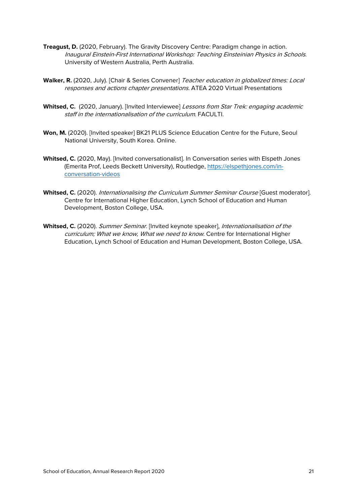- **Treagust, D.** (2020, February). The Gravity Discovery Centre: Paradigm change in action. Inaugural Einstein-First International Workshop: Teaching Einsteinian Physics in Schools. University of Western Australia, Perth Australia.
- **Walker, R.** (2020, July). [Chair & Series Convener] Teacher education in globalized times: Local responses and actions chapter presentations. ATEA 2020 Virtual Presentations
- Whitsed, C. (2020, January). [Invited Interviewee] Lessons from Star Trek: engaging academic staff in the internationalisation of the curriculum. FACULTI.
- **Won, M.** (2020). [Invited speaker] BK21 PLUS Science Education Centre for the Future, Seoul National University, South Korea. Online.
- **Whitsed, C.** (2020, May). [Invited conversationalist]. In Conversation series with Elspeth Jones (Emerita Prof, Leeds Beckett University), Routledge, [https://elspethjones.com/in](https://elspethjones.com/in-conversation-videos)[conversation-videos](https://elspethjones.com/in-conversation-videos)
- Whitsed, C. (2020). Internationalising the Curriculum Summer Seminar Course [Guest moderator]. Centre for International Higher Education, Lynch School of Education and Human Development, Boston College, USA.
- **Whitsed, C.** (2020). Summer Seminar. [Invited keynote speaker], Internationalisation of the curriculum; What we know, What we need to know. Centre for International Higher Education, Lynch School of Education and Human Development, Boston College, USA.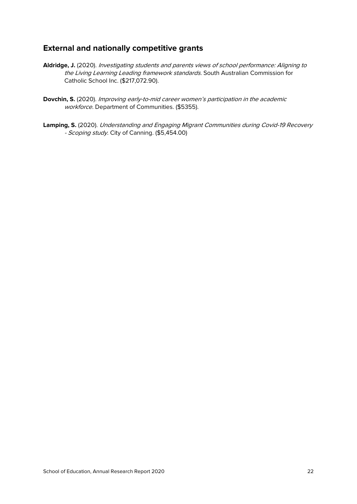# <span id="page-21-0"></span>**External and nationally competitive grants**

- **Aldridge, J.** (2020). Investigating students and parents views of school performance: Aligning to the Living Learning Leading framework standards. South Australian Commission for Catholic School Inc. (\$217,072.90).
- **Dovchin, S.** (2020). Improving early-to-mid career women's participation in the academic workforce. Department of Communities. (\$5355).
- **Lamping, S.** (2020). Understanding and Engaging Migrant Communities during Covid-19 Recovery - Scoping study. City of Canning. (\$5,454.00)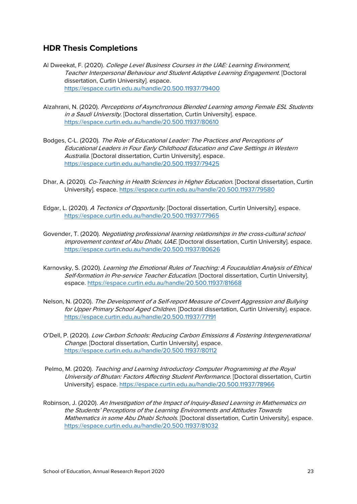# <span id="page-22-0"></span>**HDR Thesis Completions**

- Al Dweekat, F. (2020). College Level Business Courses in the UAE: Learning Environment. Teacher Interpersonal Behaviour and Student Adaptive Learning Engagement. [Doctoral dissertation, Curtin University]. espace. <https://espace.curtin.edu.au/handle/20.500.11937/79400>
- Alzahrani, N. (2020). Perceptions of Asynchronous Blended Learning among Female ESL Students in a Saudi University. [Doctoral dissertation, Curtin University]. espace. <https://espace.curtin.edu.au/handle/20.500.11937/80610>
- Bodges, C-L. (2020). The Role of Educational Leader: The Practices and Perceptions of Educational Leaders in Four Early Childhood Education and Care Settings in Western Australia. [Doctoral dissertation, Curtin University]. espace. <https://espace.curtin.edu.au/handle/20.500.11937/79425>
- Dhar, A. (2020). Co-Teaching in Health Sciences in Higher Education. [Doctoral dissertation, Curtin University]. espace. <https://espace.curtin.edu.au/handle/20.500.11937/79580>
- Edgar, L. (2020). A Tectonics of Opportunity. [Doctoral dissertation, Curtin University]. espace. <https://espace.curtin.edu.au/handle/20.500.11937/77965>
- Govender, T. (2020). Negotiating professional learning relationships in the cross-cultural school improvement context of Abu Dhabi, UAE. [Doctoral dissertation, Curtin University], espace. <https://espace.curtin.edu.au/handle/20.500.11937/80626>
- Karnovsky, S. (2020). Learning the Emotional Rules of Teaching: A Foucauldian Analysis of Ethical Self-formation in Pre-service Teacher Education. [Doctoral dissertation, Curtin University]. espace.<https://espace.curtin.edu.au/handle/20.500.11937/81668>
- Nelson, N. (2020). The Development of a Self-report Measure of Covert Aggression and Bullying for Upper Primary School Aged Children. [Doctoral dissertation, Curtin University]. espace. <https://espace.curtin.edu.au/handle/20.500.11937/77191>
- O'Dell, P. (2020). Low Carbon Schools: Reducing Carbon Emissions & Fostering Intergenerational Change. [Doctoral dissertation, Curtin University]. espace. <https://espace.curtin.edu.au/handle/20.500.11937/80112>
- Pelmo, M. (2020). Teaching and Learning Introductory Computer Programming at the Royal University of Bhutan: Factors Affecting Student Performance. [Doctoral dissertation, Curtin University]. espace.<https://espace.curtin.edu.au/handle/20.500.11937/78966>
- Robinson, J. (2020). An Investigation of the Impact of Inquiry-Based Learning in Mathematics on the Students' Perceptions of the Learning Environments and Attitudes Towards Mathematics in some Abu Dhabi Schools. [Doctoral dissertation, Curtin University]. espace. <https://espace.curtin.edu.au/handle/20.500.11937/81032>